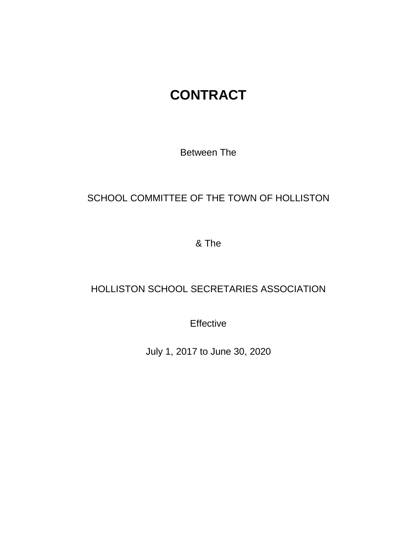# **CONTRACT**

Between The

# SCHOOL COMMITTEE OF THE TOWN OF HOLLISTON

& The

# HOLLISTON SCHOOL SECRETARIES ASSOCIATION

**Effective** 

July 1, 2017 to June 30, 2020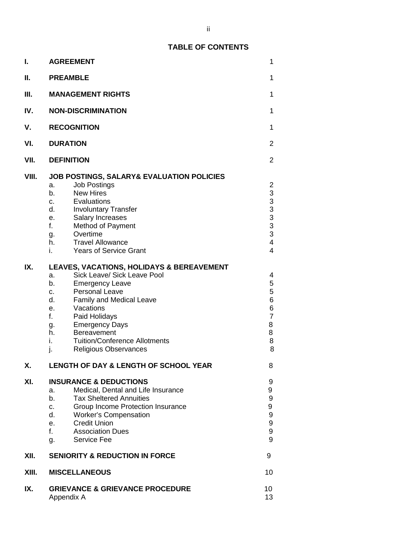| ı.    | <b>AGREEMENT</b>                                                                                                                                                                                                                                                                                                                                                      | $\mathbf{1}$                                                                                                          |  |  |  |  |  |  |
|-------|-----------------------------------------------------------------------------------------------------------------------------------------------------------------------------------------------------------------------------------------------------------------------------------------------------------------------------------------------------------------------|-----------------------------------------------------------------------------------------------------------------------|--|--|--|--|--|--|
| Ш.    | <b>PREAMBLE</b>                                                                                                                                                                                                                                                                                                                                                       |                                                                                                                       |  |  |  |  |  |  |
| III.  | <b>MANAGEMENT RIGHTS</b>                                                                                                                                                                                                                                                                                                                                              |                                                                                                                       |  |  |  |  |  |  |
| IV.   | <b>NON-DISCRIMINATION</b>                                                                                                                                                                                                                                                                                                                                             |                                                                                                                       |  |  |  |  |  |  |
| V.    | <b>RECOGNITION</b>                                                                                                                                                                                                                                                                                                                                                    |                                                                                                                       |  |  |  |  |  |  |
| VI.   | <b>DURATION</b>                                                                                                                                                                                                                                                                                                                                                       |                                                                                                                       |  |  |  |  |  |  |
| VII.  | <b>DEFINITION</b>                                                                                                                                                                                                                                                                                                                                                     |                                                                                                                       |  |  |  |  |  |  |
| VIII. | <b>JOB POSTINGS, SALARY&amp; EVALUATION POLICIES</b><br><b>Job Postings</b><br>a.<br><b>New Hires</b><br>b.<br>Evaluations<br>C.<br>d.<br><b>Involuntary Transfer</b><br>Salary Increases<br>е.<br>$f_{\rm{r}}$<br>Method of Payment<br>Overtime<br>g.<br><b>Travel Allowance</b><br>h.<br><b>Years of Service Grant</b><br>i.                                        | $\overline{2}$<br>3<br>$\begin{array}{c}\n3 \\ 3 \\ 3 \\ 3\n\end{array}$<br>$\overline{\mathbf{4}}$<br>$\overline{4}$ |  |  |  |  |  |  |
| IX.   | <b>LEAVES, VACATIONS, HOLIDAYS &amp; BEREAVEMENT</b><br>Sick Leave/ Sick Leave Pool<br>a.<br>b.<br><b>Emergency Leave</b><br>Personal Leave<br>C.<br>Family and Medical Leave<br>d.<br>Vacations<br>е.<br>f.<br>Paid Holidays<br><b>Emergency Days</b><br>g.<br>h.<br>Bereavement<br><b>Tuition/Conference Allotments</b><br>i.<br>j.<br><b>Religious Observances</b> | $\overline{4}$<br>55667<br>8<br>8<br>8<br>8                                                                           |  |  |  |  |  |  |
| Χ.    | <b>LENGTH OF DAY &amp; LENGTH OF SCHOOL YEAR</b>                                                                                                                                                                                                                                                                                                                      | 8                                                                                                                     |  |  |  |  |  |  |
| XI.   | <b>INSURANCE &amp; DEDUCTIONS</b><br>Medical, Dental and Life Insurance<br>a.<br><b>Tax Sheltered Annuities</b><br>b.<br>Group Income Protection Insurance<br>$C_{1}$<br>d.<br><b>Worker's Compensation</b><br><b>Credit Union</b><br>е.<br>f.<br><b>Association Dues</b><br>Service Fee<br>g.                                                                        | 9<br>9<br>$\boldsymbol{9}$<br>9<br>$\boldsymbol{9}$<br>$\boldsymbol{9}$<br>9<br>9                                     |  |  |  |  |  |  |
| XII.  | <b>SENIORITY &amp; REDUCTION IN FORCE</b>                                                                                                                                                                                                                                                                                                                             | 9                                                                                                                     |  |  |  |  |  |  |
| XIII. | <b>MISCELLANEOUS</b>                                                                                                                                                                                                                                                                                                                                                  | 10                                                                                                                    |  |  |  |  |  |  |
| IX.   | <b>GRIEVANCE &amp; GRIEVANCE PROCEDURE</b><br>Appendix A                                                                                                                                                                                                                                                                                                              |                                                                                                                       |  |  |  |  |  |  |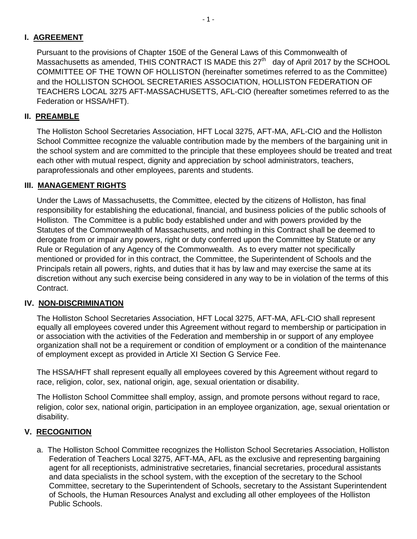# **I. AGREEMENT**

Pursuant to the provisions of Chapter 150E of the General Laws of this Commonwealth of Massachusetts as amended, THIS CONTRACT IS MADE this  $27<sup>th</sup>$  day of April 2017 by the SCHOOL COMMITTEE OF THE TOWN OF HOLLISTON (hereinafter sometimes referred to as the Committee) and the HOLLISTON SCHOOL SECRETARIES ASSOCIATION, HOLLISTON FEDERATION OF TEACHERS LOCAL 3275 AFT-MASSACHUSETTS, AFL-CIO (hereafter sometimes referred to as the Federation or HSSA/HFT).

# **II. PREAMBLE**

The Holliston School Secretaries Association, HFT Local 3275, AFT-MA, AFL-CIO and the Holliston School Committee recognize the valuable contribution made by the members of the bargaining unit in the school system and are committed to the principle that these employees should be treated and treat each other with mutual respect, dignity and appreciation by school administrators, teachers, paraprofessionals and other employees, parents and students.

# **III. MANAGEMENT RIGHTS**

Under the Laws of Massachusetts, the Committee, elected by the citizens of Holliston, has final responsibility for establishing the educational, financial, and business policies of the public schools of Holliston. The Committee is a public body established under and with powers provided by the Statutes of the Commonwealth of Massachusetts, and nothing in this Contract shall be deemed to derogate from or impair any powers, right or duty conferred upon the Committee by Statute or any Rule or Regulation of any Agency of the Commonwealth. As to every matter not specifically mentioned or provided for in this contract, the Committee, the Superintendent of Schools and the Principals retain all powers, rights, and duties that it has by law and may exercise the same at its discretion without any such exercise being considered in any way to be in violation of the terms of this Contract.

## **IV. NON-DISCRIMINATION**

The Holliston School Secretaries Association, HFT Local 3275, AFT-MA, AFL-CIO shall represent equally all employees covered under this Agreement without regard to membership or participation in or association with the activities of the Federation and membership in or support of any employee organization shall not be a requirement or condition of employment or a condition of the maintenance of employment except as provided in Article XI Section G Service Fee.

The HSSA/HFT shall represent equally all employees covered by this Agreement without regard to race, religion, color, sex, national origin, age, sexual orientation or disability.

The Holliston School Committee shall employ, assign, and promote persons without regard to race, religion, color sex, national origin, participation in an employee organization, age, sexual orientation or disability.

## **V. RECOGNITION**

a. The Holliston School Committee recognizes the Holliston School Secretaries Association, Holliston Federation of Teachers Local 3275, AFT-MA, AFL as the exclusive and representing bargaining agent for all receptionists, administrative secretaries, financial secretaries, procedural assistants and data specialists in the school system, with the exception of the secretary to the School Committee, secretary to the Superintendent of Schools, secretary to the Assistant Superintendent of Schools, the Human Resources Analyst and excluding all other employees of the Holliston Public Schools.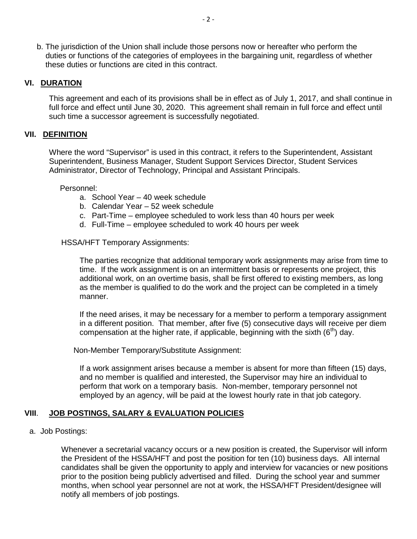b. The jurisdiction of the Union shall include those persons now or hereafter who perform the duties or functions of the categories of employees in the bargaining unit, regardless of whether these duties or functions are cited in this contract.

#### **VI. DURATION**

This agreement and each of its provisions shall be in effect as of July 1, 2017, and shall continue in full force and effect until June 30, 2020. This agreement shall remain in full force and effect until such time a successor agreement is successfully negotiated.

#### **VII. DEFINITION**

Where the word "Supervisor" is used in this contract, it refers to the Superintendent, Assistant Superintendent, Business Manager, Student Support Services Director, Student Services Administrator, Director of Technology, Principal and Assistant Principals.

Personnel:

- a. School Year 40 week schedule
- b. Calendar Year 52 week schedule
- c. Part-Time employee scheduled to work less than 40 hours per week
- d. Full-Time employee scheduled to work 40 hours per week

#### HSSA/HFT Temporary Assignments:

The parties recognize that additional temporary work assignments may arise from time to time. If the work assignment is on an intermittent basis or represents one project, this additional work, on an overtime basis, shall be first offered to existing members, as long as the member is qualified to do the work and the project can be completed in a timely manner.

If the need arises, it may be necessary for a member to perform a temporary assignment in a different position. That member, after five (5) consecutive days will receive per diem compensation at the higher rate, if applicable, beginning with the sixth  $(6<sup>th</sup>)$  day.

Non-Member Temporary/Substitute Assignment:

If a work assignment arises because a member is absent for more than fifteen (15) days, and no member is qualified and interested, the Supervisor may hire an individual to perform that work on a temporary basis. Non-member, temporary personnel not employed by an agency, will be paid at the lowest hourly rate in that job category.

#### **VIII**. **JOB POSTINGS, SALARY & EVALUATION POLICIES**

a. Job Postings:

Whenever a secretarial vacancy occurs or a new position is created, the Supervisor will inform the President of the HSSA/HFT and post the position for ten (10) business days. All internal candidates shall be given the opportunity to apply and interview for vacancies or new positions prior to the position being publicly advertised and filled. During the school year and summer months, when school year personnel are not at work, the HSSA/HFT President/designee will notify all members of job postings.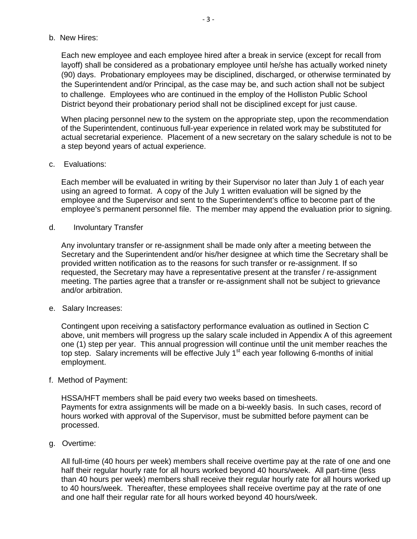b. New Hires:

Each new employee and each employee hired after a break in service (except for recall from layoff) shall be considered as a probationary employee until he/she has actually worked ninety (90) days. Probationary employees may be disciplined, discharged, or otherwise terminated by the Superintendent and/or Principal, as the case may be, and such action shall not be subject to challenge. Employees who are continued in the employ of the Holliston Public School District beyond their probationary period shall not be disciplined except for just cause.

When placing personnel new to the system on the appropriate step, upon the recommendation of the Superintendent, continuous full-year experience in related work may be substituted for actual secretarial experience. Placement of a new secretary on the salary schedule is not to be a step beyond years of actual experience.

c. Evaluations:

Each member will be evaluated in writing by their Supervisor no later than July 1 of each year using an agreed to format. A copy of the July 1 written evaluation will be signed by the employee and the Supervisor and sent to the Superintendent's office to become part of the employee's permanent personnel file. The member may append the evaluation prior to signing.

d. Involuntary Transfer

Any involuntary transfer or re-assignment shall be made only after a meeting between the Secretary and the Superintendent and/or his/her designee at which time the Secretary shall be provided written notification as to the reasons for such transfer or re-assignment. If so requested, the Secretary may have a representative present at the transfer / re-assignment meeting. The parties agree that a transfer or re-assignment shall not be subject to grievance and/or arbitration.

e. Salary Increases:

Contingent upon receiving a satisfactory performance evaluation as outlined in Section C above, unit members will progress up the salary scale included in Appendix A of this agreement one (1) step per year. This annual progression will continue until the unit member reaches the top step. Salary increments will be effective July 1<sup>st</sup> each year following 6-months of initial employment.

f. Method of Payment:

HSSA/HFT members shall be paid every two weeks based on timesheets. Payments for extra assignments will be made on a bi-weekly basis. In such cases, record of hours worked with approval of the Supervisor, must be submitted before payment can be processed.

g. Overtime:

All full-time (40 hours per week) members shall receive overtime pay at the rate of one and one half their regular hourly rate for all hours worked beyond 40 hours/week. All part-time (less than 40 hours per week) members shall receive their regular hourly rate for all hours worked up to 40 hours/week. Thereafter, these employees shall receive overtime pay at the rate of one and one half their regular rate for all hours worked beyond 40 hours/week.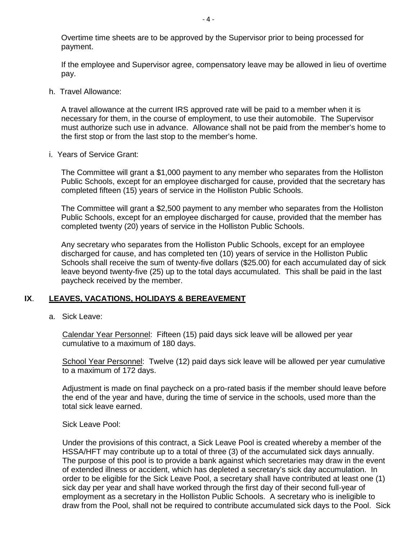Overtime time sheets are to be approved by the Supervisor prior to being processed for payment.

If the employee and Supervisor agree, compensatory leave may be allowed in lieu of overtime pay.

h. Travel Allowance:

A travel allowance at the current IRS approved rate will be paid to a member when it is necessary for them, in the course of employment, to use their automobile. The Supervisor must authorize such use in advance. Allowance shall not be paid from the member's home to the first stop or from the last stop to the member's home.

i. Years of Service Grant:

The Committee will grant a \$1,000 payment to any member who separates from the Holliston Public Schools, except for an employee discharged for cause, provided that the secretary has completed fifteen (15) years of service in the Holliston Public Schools.

The Committee will grant a \$2,500 payment to any member who separates from the Holliston Public Schools, except for an employee discharged for cause, provided that the member has completed twenty (20) years of service in the Holliston Public Schools.

Any secretary who separates from the Holliston Public Schools, except for an employee discharged for cause, and has completed ten (10) years of service in the Holliston Public Schools shall receive the sum of twenty-five dollars (\$25.00) for each accumulated day of sick leave beyond twenty-five (25) up to the total days accumulated. This shall be paid in the last paycheck received by the member.

#### **IX**. **LEAVES, VACATIONS, HOLIDAYS & BEREAVEMENT**

a. Sick Leave:

Calendar Year Personnel: Fifteen (15) paid days sick leave will be allowed per year cumulative to a maximum of 180 days.

School Year Personnel: Twelve (12) paid days sick leave will be allowed per year cumulative to a maximum of 172 days.

Adjustment is made on final paycheck on a pro-rated basis if the member should leave before the end of the year and have, during the time of service in the schools, used more than the total sick leave earned.

Sick Leave Pool:

Under the provisions of this contract, a Sick Leave Pool is created whereby a member of the HSSA/HFT may contribute up to a total of three (3) of the accumulated sick days annually. The purpose of this pool is to provide a bank against which secretaries may draw in the event of extended illness or accident, which has depleted a secretary's sick day accumulation. In order to be eligible for the Sick Leave Pool, a secretary shall have contributed at least one (1) sick day per year and shall have worked through the first day of their second full-year of employment as a secretary in the Holliston Public Schools. A secretary who is ineligible to draw from the Pool, shall not be required to contribute accumulated sick days to the Pool. Sick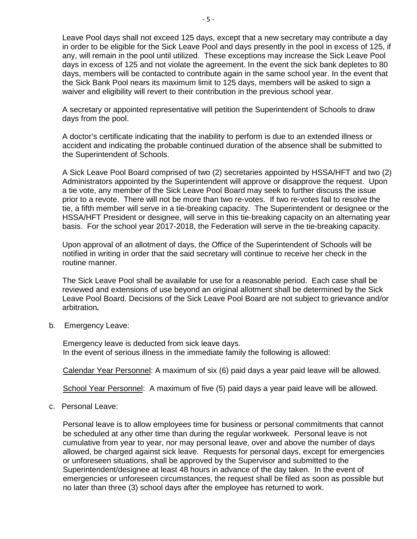Leave Pool days shall not exceed 125 days, except that a new secretary may contribute a day in order to be eligible for the Sick Leave Pool and days presently in the pool in excess of 125, if any, will remain in the pool until utilized. These exceptions may increase the Sick Leave Pool days in excess of 125 and not violate the agreement. In the event the sick bank depletes to 80 days, members will be contacted to contribute again in the same school year. In the event that the Sick Bank Pool nears its maximum limit to 125 days, members will be asked to sign a waiver and eligibility will revert to their contribution in the previous school year.

A secretary or appointed representative will petition the Superintendent of Schools to draw days from the pool.

A doctor's certificate indicating that the inability to perform is due to an extended illness or accident and indicating the probable continued duration of the absence shall be submitted to the Superintendent of Schools.

A Sick Leave Pool Board comprised of two (2) secretaries appointed by HSSA/HFT and two (2) Administrators appointed by the Superintendent will approve or disapprove the request. Upon a tie vote, any member of the Sick Leave Pool Board may seek to further discuss the issue prior to a revote. There will not be more than two re-votes. If two re-votes fail to resolve the tie, a fifth member will serve in a tie-breaking capacity. The Superintendent or designee or the HSSA/HFT President or designee, will serve in this tie-breaking capacity on an alternating year basis. For the school year 2017-2018, the Federation will serve in the tie-breaking capacity.

Upon approval of an allotment of days, the Office of the Superintendent of Schools will be notified in writing in order that the said secretary will continue to receive her check in the routine manner.

The Sick Leave Pool shall be available for use for a reasonable period. Each case shall be reviewed and extensions of use beyond an original allotment shall be determined by the Sick Leave Pool Board. Decisions of the Sick Leave Pool Board are not subject to grievance and/or arbitration*.*

b. Emergency Leave:

Emergency leave is deducted from sick leave days. In the event of serious illness in the immediate family the following is allowed:

Calendar Year Personnel: A maximum of six (6) paid days a year paid leave will be allowed.

School Year Personnel: A maximum of five (5) paid days a year paid leave will be allowed.

c. Personal Leave:

Personal leave is to allow employees time for business or personal commitments that cannot be scheduled at any other time than during the regular workweek. Personal leave is not cumulative from year to year, nor may personal leave, over and above the number of days allowed, be charged against sick leave. Requests for personal days, except for emergencies or unforeseen situations, shall be approved by the Supervisor and submitted to the Superintendent/designee at least 48 hours in advance of the day taken. In the event of emergencies or unforeseen circumstances, the request shall be filed as soon as possible but no later than three (3) school days after the employee has returned to work.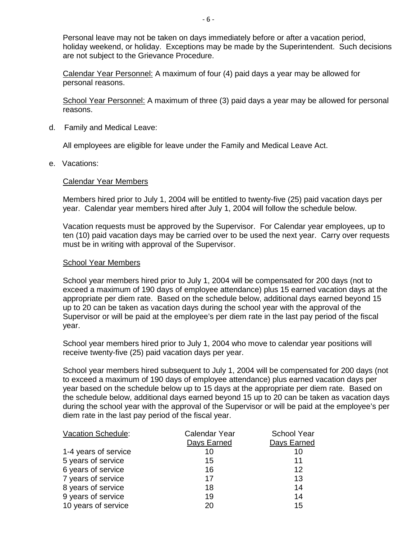Personal leave may not be taken on days immediately before or after a vacation period, holiday weekend, or holiday. Exceptions may be made by the Superintendent. Such decisions are not subject to the Grievance Procedure.

Calendar Year Personnel: A maximum of four (4) paid days a year may be allowed for personal reasons.

School Year Personnel: A maximum of three (3) paid days a year may be allowed for personal reasons.

d. Family and Medical Leave:

All employees are eligible for leave under the Family and Medical Leave Act.

e. Vacations:

#### Calendar Year Members

Members hired prior to July 1, 2004 will be entitled to twenty-five (25) paid vacation days per year. Calendar year members hired after July 1, 2004 will follow the schedule below.

Vacation requests must be approved by the Supervisor. For Calendar year employees, up to ten (10) paid vacation days may be carried over to be used the next year. Carry over requests must be in writing with approval of the Supervisor.

#### School Year Members

School year members hired prior to July 1, 2004 will be compensated for 200 days (not to exceed a maximum of 190 days of employee attendance) plus 15 earned vacation days at the appropriate per diem rate. Based on the schedule below, additional days earned beyond 15 up to 20 can be taken as vacation days during the school year with the approval of the Supervisor or will be paid at the employee's per diem rate in the last pay period of the fiscal year.

School year members hired prior to July 1, 2004 who move to calendar year positions will receive twenty-five (25) paid vacation days per year.

School year members hired subsequent to July 1, 2004 will be compensated for 200 days (not to exceed a maximum of 190 days of employee attendance) plus earned vacation days per year based on the schedule below up to 15 days at the appropriate per diem rate. Based on the schedule below, additional days earned beyond 15 up to 20 can be taken as vacation days during the school year with the approval of the Supervisor or will be paid at the employee's per diem rate in the last pay period of the fiscal year.

| <b>Vacation Schedule:</b> | Calendar Year | <b>School Year</b> |
|---------------------------|---------------|--------------------|
|                           | Days Earned   | Days Earned        |
| 1-4 years of service      | 10            | 10                 |
| 5 years of service        | 15            | 11                 |
| 6 years of service        | 16            | 12                 |
| 7 years of service        | 17            | 13                 |
| 8 years of service        | 18            | 14                 |
| 9 years of service        | 19            | 14                 |
| 10 years of service       | 20            | 15                 |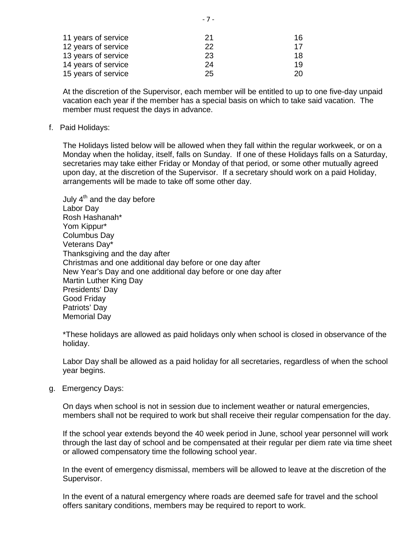| 21 | 16  |
|----|-----|
| 22 | 17  |
| 23 | 18. |
| 24 | 19  |
| 25 | 20. |
|    |     |

At the discretion of the Supervisor, each member will be entitled to up to one five-day unpaid vacation each year if the member has a special basis on which to take said vacation. The member must request the days in advance.

#### f. Paid Holidays:

The Holidays listed below will be allowed when they fall within the regular workweek, or on a Monday when the holiday, itself, falls on Sunday. If one of these Holidays falls on a Saturday, secretaries may take either Friday or Monday of that period, or some other mutually agreed upon day, at the discretion of the Supervisor. If a secretary should work on a paid Holiday, arrangements will be made to take off some other day.

July  $4<sup>th</sup>$  and the day before Labor Day Rosh Hashanah\* Yom Kippur\* Columbus Day Veterans Day\* Thanksgiving and the day after Christmas and one additional day before or one day after New Year's Day and one additional day before or one day after Martin Luther King Day Presidents' Day Good Friday Patriots' Day Memorial Day

\*These holidays are allowed as paid holidays only when school is closed in observance of the holiday.

Labor Day shall be allowed as a paid holiday for all secretaries, regardless of when the school year begins.

g. Emergency Days:

On days when school is not in session due to inclement weather or natural emergencies, members shall not be required to work but shall receive their regular compensation for the day.

If the school year extends beyond the 40 week period in June, school year personnel will work through the last day of school and be compensated at their regular per diem rate via time sheet or allowed compensatory time the following school year.

In the event of emergency dismissal, members will be allowed to leave at the discretion of the Supervisor.

In the event of a natural emergency where roads are deemed safe for travel and the school offers sanitary conditions, members may be required to report to work.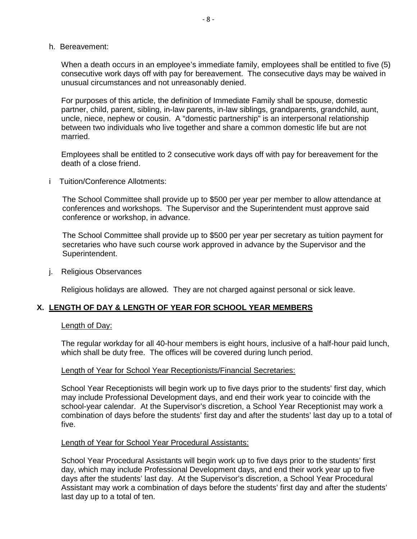h. Bereavement:

When a death occurs in an employee's immediate family, employees shall be entitled to five (5) consecutive work days off with pay for bereavement. The consecutive days may be waived in unusual circumstances and not unreasonably denied.

For purposes of this article, the definition of Immediate Family shall be spouse, domestic partner, child, parent, sibling, in-law parents, in-law siblings, grandparents, grandchild, aunt, uncle, niece, nephew or cousin. A "domestic partnership" is an interpersonal relationship between two individuals who live together and share a common domestic life but are not married.

Employees shall be entitled to 2 consecutive work days off with pay for bereavement for the death of a close friend.

i Tuition/Conference Allotments:

The School Committee shall provide up to \$500 per year per member to allow attendance at conferences and workshops. The Supervisor and the Superintendent must approve said conference or workshop, in advance.

The School Committee shall provide up to \$500 per year per secretary as tuition payment for secretaries who have such course work approved in advance by the Supervisor and the Superintendent.

j. Religious Observances

Religious holidays are allowed. They are not charged against personal or sick leave.

#### **X. LENGTH OF DAY & LENGTH OF YEAR FOR SCHOOL YEAR MEMBERS**

#### Length of Day:

The regular workday for all 40-hour members is eight hours, inclusive of a half-hour paid lunch, which shall be duty free. The offices will be covered during lunch period.

#### Length of Year for School Year Receptionists/Financial Secretaries:

School Year Receptionists will begin work up to five days prior to the students' first day, which may include Professional Development days, and end their work year to coincide with the school-year calendar. At the Supervisor's discretion, a School Year Receptionist may work a combination of days before the students' first day and after the students' last day up to a total of five.

#### Length of Year for School Year Procedural Assistants:

School Year Procedural Assistants will begin work up to five days prior to the students' first day, which may include Professional Development days, and end their work year up to five days after the students' last day. At the Supervisor's discretion, a School Year Procedural Assistant may work a combination of days before the students' first day and after the students' last day up to a total of ten.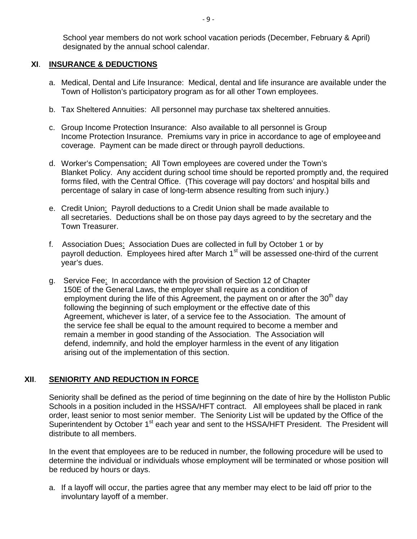School year members do not work school vacation periods (December, February & April) designated by the annual school calendar.

#### **XI**. **INSURANCE & DEDUCTIONS**

- a. Medical, Dental and Life Insurance: Medical, dental and life insurance are available under the Town of Holliston's participatory program as for all other Town employees.
- b. Tax Sheltered Annuities: All personnel may purchase tax sheltered annuities.
- c. Group Income Protection Insurance: Also available to all personnel is Group Income Protection Insurance. Premiums vary in price in accordance to age of employeeand coverage. Payment can be made direct or through payroll deductions.
- d. Worker's Compensation: All Town employees are covered under the Town's Blanket Policy. Any accident during school time should be reported promptly and, the required forms filed, with the Central Office. (This coverage will pay doctors' and hospital bills and percentage of salary in case of long-term absence resulting from such injury.)
- e. Credit Union: Payroll deductions to a Credit Union shall be made available to all secretaries. Deductions shall be on those pay days agreed to by the secretary and the Town Treasurer.
- f. Association Dues: Association Dues are collected in full by October 1 or by payroll deduction. Employees hired after March 1<sup>st</sup> will be assessed one-third of the current year's dues.
- g. Service Fee: In accordance with the provision of Section 12 of Chapter 150E of the General Laws, the employer shall require as a condition of employment during the life of this Agreement, the payment on or after the  $30<sup>th</sup>$  day following the beginning of such employment or the effective date of this Agreement, whichever is later, of a service fee to the Association. The amount of the service fee shall be equal to the amount required to become a member and remain a member in good standing of the Association. The Association will defend, indemnify, and hold the employer harmless in the event of any litigation arising out of the implementation of this section.

## **XII**. **SENIORITY AND REDUCTION IN FORCE**

Seniority shall be defined as the period of time beginning on the date of hire by the Holliston Public Schools in a position included in the HSSA/HFT contract. All employees shall be placed in rank order, least senior to most senior member. The Seniority List will be updated by the Office of the Superintendent by October 1<sup>st</sup> each year and sent to the HSSA/HFT President. The President will distribute to all members.

In the event that employees are to be reduced in number, the following procedure will be used to determine the individual or individuals whose employment will be terminated or whose position will be reduced by hours or days.

a. If a layoff will occur, the parties agree that any member may elect to be laid off prior to the involuntary layoff of a member.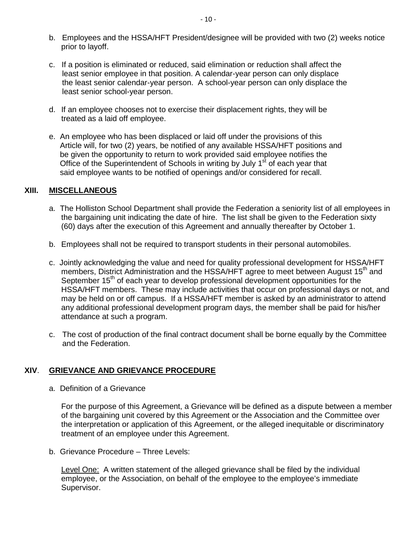- b. Employees and the HSSA/HFT President/designee will be provided with two (2) weeks notice prior to layoff.
- c. If a position is eliminated or reduced, said elimination or reduction shall affect the least senior employee in that position. A calendar-year person can only displace the least senior calendar-year person. A school-year person can only displace the least senior school-year person.
- d. If an employee chooses not to exercise their displacement rights, they will be treated as a laid off employee.
- e. An employee who has been displaced or laid off under the provisions of this Article will, for two (2) years, be notified of any available HSSA/HFT positions and be given the opportunity to return to work provided said employee notifies the Office of the Superintendent of Schools in writing by July  $1<sup>st</sup>$  of each year that said employee wants to be notified of openings and/or considered for recall.

#### **XIII. MISCELLANEOUS**

- a. The Holliston School Department shall provide the Federation a seniority list of all employees in the bargaining unit indicating the date of hire. The list shall be given to the Federation sixty (60) days after the execution of this Agreement and annually thereafter by October 1.
- b. Employees shall not be required to transport students in their personal automobiles.
- c. Jointly acknowledging the value and need for quality professional development for HSSA/HFT members, District Administration and the HSSA/HFT agree to meet between August 15<sup>th</sup> and September 15<sup>th</sup> of each year to develop professional development opportunities for the HSSA/HFT members. These may include activities that occur on professional days or not, and may be held on or off campus. If a HSSA/HFT member is asked by an administrator to attend any additional professional development program days, the member shall be paid for his/her attendance at such a program.
- c. The cost of production of the final contract document shall be borne equally by the Committee and the Federation.

#### **XIV**. **GRIEVANCE AND GRIEVANCE PROCEDURE**

a. Definition of a Grievance

For the purpose of this Agreement, a Grievance will be defined as a dispute between a member of the bargaining unit covered by this Agreement or the Association and the Committee over the interpretation or application of this Agreement, or the alleged inequitable or discriminatory treatment of an employee under this Agreement.

b. Grievance Procedure – Three Levels:

Level One: A written statement of the alleged grievance shall be filed by the individual employee, or the Association, on behalf of the employee to the employee's immediate Supervisor.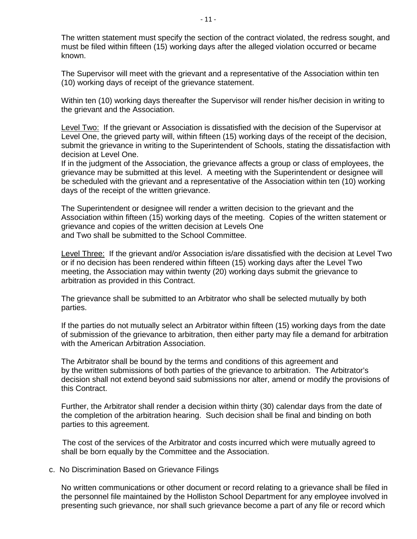The written statement must specify the section of the contract violated, the redress sought, and must be filed within fifteen (15) working days after the alleged violation occurred or became known.

The Supervisor will meet with the grievant and a representative of the Association within ten (10) working days of receipt of the grievance statement.

Within ten (10) working days thereafter the Supervisor will render his/her decision in writing to the grievant and the Association.

Level Two: If the grievant or Association is dissatisfied with the decision of the Supervisor at Level One, the grieved party will, within fifteen (15) working days of the receipt of the decision, submit the grievance in writing to the Superintendent of Schools, stating the dissatisfaction with decision at Level One.

If in the judgment of the Association, the grievance affects a group or class of employees, the grievance may be submitted at this level. A meeting with the Superintendent or designee will be scheduled with the grievant and a representative of the Association within ten (10) working days of the receipt of the written grievance.

The Superintendent or designee will render a written decision to the grievant and the Association within fifteen (15) working days of the meeting. Copies of the written statement or grievance and copies of the written decision at Levels One and Two shall be submitted to the School Committee.

Level Three: If the grievant and/or Association is/are dissatisfied with the decision at Level Two or if no decision has been rendered within fifteen (15) working days after the Level Two meeting, the Association may within twenty (20) working days submit the grievance to arbitration as provided in this Contract.

The grievance shall be submitted to an Arbitrator who shall be selected mutually by both parties.

If the parties do not mutually select an Arbitrator within fifteen (15) working days from the date of submission of the grievance to arbitration, then either party may file a demand for arbitration with the American Arbitration Association.

The Arbitrator shall be bound by the terms and conditions of this agreement and by the written submissions of both parties of the grievance to arbitration. The Arbitrator's decision shall not extend beyond said submissions nor alter, amend or modify the provisions of this Contract.

Further, the Arbitrator shall render a decision within thirty (30) calendar days from the date of the completion of the arbitration hearing. Such decision shall be final and binding on both parties to this agreement.

The cost of the services of the Arbitrator and costs incurred which were mutually agreed to shall be born equally by the Committee and the Association.

#### c. No Discrimination Based on Grievance Filings

No written communications or other document or record relating to a grievance shall be filed in the personnel file maintained by the Holliston School Department for any employee involved in presenting such grievance, nor shall such grievance become a part of any file or record which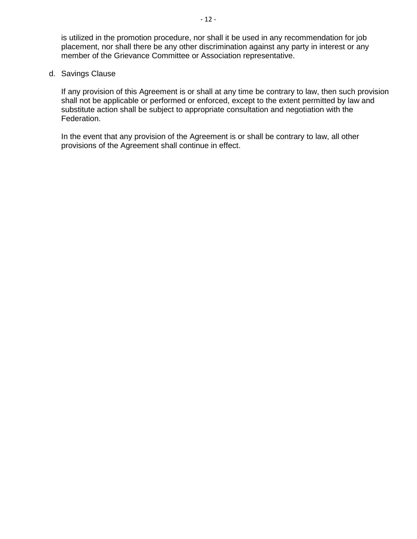is utilized in the promotion procedure, nor shall it be used in any recommendation for job placement, nor shall there be any other discrimination against any party in interest or any member of the Grievance Committee or Association representative.

#### d. Savings Clause

If any provision of this Agreement is or shall at any time be contrary to law, then such provision shall not be applicable or performed or enforced, except to the extent permitted by law and substitute action shall be subject to appropriate consultation and negotiation with the Federation.

In the event that any provision of the Agreement is or shall be contrary to law, all other provisions of the Agreement shall continue in effect.